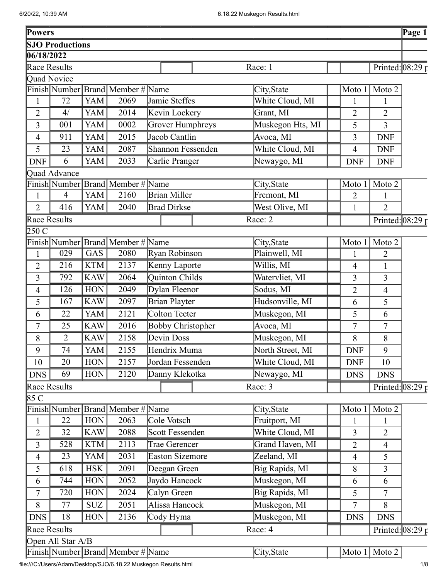| Powers           |                        |            |                                     |                          |                  |                |                            | Page 1 |
|------------------|------------------------|------------|-------------------------------------|--------------------------|------------------|----------------|----------------------------|--------|
|                  | <b>SJO Productions</b> |            |                                     |                          |                  |                |                            |        |
| 06/18/2022       |                        |            |                                     |                          |                  |                |                            |        |
|                  | Race Results           |            |                                     |                          | Race: 1          |                | Printed: $08:29r$          |        |
|                  | Quad Novice            |            |                                     |                          |                  |                |                            |        |
|                  |                        |            | Finish Number Brand   Member # Name |                          | City, State      | Moto 1         | Moto 2                     |        |
| $\mathbf{1}$     | 72                     | YAM        | 2069                                | Jamie Steffes            | White Cloud, MI  | 1              | $\mathbf{1}$               |        |
| $\overline{2}$   | 4/                     | <b>YAM</b> | 2014                                | Kevin Lockery            | Grant, MI        | $\overline{2}$ | $\overline{2}$             |        |
| 3                | 001                    | <b>YAM</b> | 0002                                | Grover Humphreys         | Muskegon Hts, MI | 5              | $\overline{3}$             |        |
| 4                | 911                    | <b>YAM</b> | 2015                                | Jacob Cantlin            | Avoca, MI        | 3              | <b>DNF</b>                 |        |
| 5                | 23                     | <b>YAM</b> | 2087                                | Shannon Fessenden        | White Cloud, MI  | $\overline{4}$ | <b>DNF</b>                 |        |
| <b>DNF</b>       | 6                      | <b>YAM</b> | 2033                                | Carlie Pranger           | Newaygo, MI      | <b>DNF</b>     | <b>DNF</b>                 |        |
|                  | Quad Advance           |            |                                     |                          |                  |                |                            |        |
|                  | Finish Number          |            | <b>Brand Member # Name</b>          |                          | City, State      | Moto 1         | Moto 2                     |        |
| $\mathbf{1}$     | 4                      | <b>YAM</b> | 2160                                | <b>Brian Miller</b>      | Fremont, MI      | $\overline{2}$ | 1                          |        |
| $\overline{2}$   | 416                    | <b>YAM</b> | 2040                                | <b>Brad Dirkse</b>       | West Olive, MI   | 1              | $\overline{2}$             |        |
|                  | Race Results           |            |                                     |                          | Race: 2          |                | Printed: $08:29 \text{ p}$ |        |
| 250 C            |                        |            |                                     |                          |                  |                |                            |        |
|                  |                        |            | Finish Number Brand Member # Name   |                          | City, State      | Moto 1         | Moto 2                     |        |
| $\mathbf{1}$     | 029                    | GAS        | 2080                                | <b>Ryan Robinson</b>     | Plainwell, MI    | 1              | $\overline{2}$             |        |
| $\overline{2}$   | 216                    | <b>KTM</b> | 2137                                | Kenny Laporte            | Willis, MI       | $\overline{4}$ |                            |        |
| 3                | 792                    | <b>KAW</b> | 2064                                | Quinton Childs           | Watervliet, MI   | 3              | 3                          |        |
| 4                | 126                    | <b>HON</b> | 2049                                | Dylan Fleenor            | Sodus, MI        | $\overline{2}$ | $\overline{4}$             |        |
| 5                | 167                    | <b>KAW</b> | 2097                                | <b>Brian Playter</b>     | Hudsonville, MI  | 6              | 5                          |        |
| 6                | 22                     | <b>YAM</b> | 2121                                | <b>Colton Teeter</b>     | Muskegon, MI     | 5              | 6                          |        |
| 7                | 25                     | <b>KAW</b> | 2016                                | <b>Bobby Christopher</b> | Avoca, MI        | 7              | $\tau$                     |        |
| 8                | $\overline{2}$         | <b>KAW</b> | 2158                                | Devin Doss               | Muskegon, MI     | 8              | 8                          |        |
| 9                | 74                     | YAM        | 2155                                | Hendrix Muma             | North Street, MI | <b>DNF</b>     | 9                          |        |
| 10               | 20                     | <b>HON</b> | 2157                                | Jordan Fessenden         | White Cloud, MI  | <b>DNF</b>     | 10                         |        |
| <b>DNS</b>       | 69                     | <b>HON</b> | 2120                                | Danny Klekotka           | Newaygo, MI      | <b>DNS</b>     | <b>DNS</b>                 |        |
|                  | Race Results           |            |                                     |                          | Race: 3          |                |                            |        |
| $\overline{8}5C$ |                        |            |                                     |                          |                  |                | Printed: $08:29 \text{ p}$ |        |
|                  |                        |            | Finish Number Brand Member #        | Name                     | City, State      | Moto 1         | Moto 2                     |        |
| $\mathbf{1}$     | 22                     | <b>HON</b> | 2063                                | Cole Votsch              | Fruitport, MI    | $\mathbf{1}$   | $\mathbf{1}$               |        |
| 2                | 32                     | <b>KAW</b> | 2088                                | Scott Fessenden          | White Cloud, MI  | 3              | $\overline{2}$             |        |
| 3                | 528                    | <b>KTM</b> | $\overline{2}113$                   | Trae Gerencer            | Grand Haven, MI  | $\overline{2}$ | $\overline{4}$             |        |
| 4                | 23                     | YAM        | 2031                                | <b>Easton Sizemore</b>   | Zeeland, MI      | $\overline{4}$ | 5                          |        |
|                  | 618                    | <b>HSK</b> | 2091                                |                          | Big Rapids, MI   | 8              | $\overline{3}$             |        |
| 5                |                        |            |                                     | Deegan Green             |                  |                |                            |        |
| 6                | 744                    | <b>HON</b> | 2052                                | Jaydo Hancock            | Muskegon, MI     | 6              | 6                          |        |
| 7                | 720                    | <b>HON</b> | 2024                                | Calyn Green              | Big Rapids, MI   | 5              | 7                          |        |
| 8                | 77                     | <b>SUZ</b> | 2051                                | Alissa Hancock           | Muskegon, MI     | 7              | 8                          |        |
| <b>DNS</b>       | 18                     | <b>HON</b> | 2136                                | Cody Hyma                | Muskegon, MI     | <b>DNS</b>     | <b>DNS</b>                 |        |
|                  | Race Results           |            |                                     |                          | Race: 4          |                | Printed: $08:29 \text{ p}$ |        |
|                  | Open All Star A/B      |            |                                     |                          |                  |                |                            |        |
|                  |                        |            | Finish Number Brand Member # Name   |                          | City, State      |                | Moto $1 \vert$ Moto 2      |        |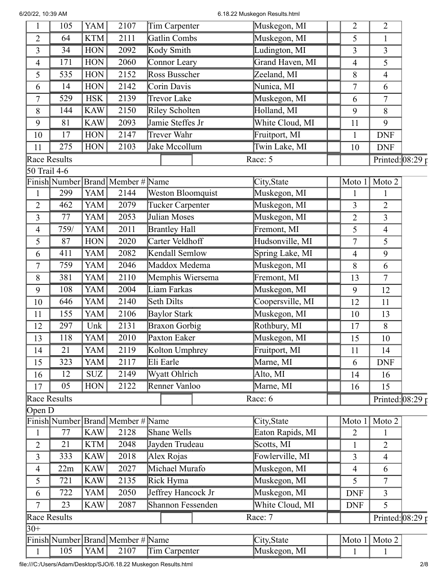6/20/22, 10:39 AM 6.18.22 Muskegon Results.html

| 1                       | 105             | YAM        | 2107                              | Tim Carpenter        | Muskegon, MI     | 2              | $\overline{2}$             |                       |
|-------------------------|-----------------|------------|-----------------------------------|----------------------|------------------|----------------|----------------------------|-----------------------|
| $\overline{2}$          | 64              | <b>KTM</b> | 2111                              | <b>Gatlin Combs</b>  | Muskegon, MI     | 5              |                            |                       |
| 3                       | 34              | <b>HON</b> | 2092                              | Kody Smith           | Ludington, MI    | 3              | $\overline{3}$             |                       |
| 4                       | 171             | <b>HON</b> | 2060                              | Connor Leary         | Grand Haven, MI  | $\overline{4}$ | 5                          |                       |
| 5                       | 535             | <b>HON</b> | 2152                              | Ross Busscher        | Zeeland, MI      | 8              | $\overline{4}$             |                       |
| 6                       | 14              | <b>HON</b> | 2142                              | Corin Davis          | Nunica, MI       | 7              | 6                          |                       |
| 7                       | 529             | <b>HSK</b> | 2139                              | <b>Trevor Lake</b>   | Muskegon, MI     | 6              | $\overline{7}$             |                       |
| 8                       | 144             | <b>KAW</b> | 2150                              | Riley Scholten       | Holland, MI      | 9              | 8                          |                       |
| 9                       | 81              | <b>KAW</b> | 2093                              | Jamie Steffes Jr     | White Cloud, MI  | 11             | 9                          |                       |
| 10                      | 17              | <b>HON</b> | 2147                              | Trever Wahr          | Fruitport, MI    | $\mathbf{1}$   | <b>DNF</b>                 |                       |
| 11                      | 275             | <b>HON</b> | 2103                              | Jake Mccollum        | Twin Lake, MI    | 10             | <b>DNF</b>                 |                       |
|                         | Race Results    |            |                                   |                      | Race: 5          |                | Printed: $08:29 \text{ p}$ |                       |
| 50 Trail 4-6            |                 |            |                                   |                      |                  |                |                            |                       |
|                         |                 |            | Finish Number Brand Member # Name |                      | City, State      | Moto 1         | Moto 2                     |                       |
| $\mathbf{1}$            | 299             | YAM        | 2144                              | Weston Bloomquist    | Muskegon, MI     | 1              |                            |                       |
| $\overline{c}$          | 462             | YAM        | 2079                              | Tucker Carpenter     | Muskegon, MI     | 3              | $\overline{2}$             |                       |
| 3                       | 77              | YAM        | 2053                              | Julian Moses         | Muskegon, MI     | $\overline{2}$ | $\overline{3}$             |                       |
| 4                       | 759/            | YAM        | 2011                              | <b>Brantley Hall</b> | Fremont, MI      | 5              | $\overline{4}$             |                       |
| 5                       | 87              | <b>HON</b> | 2020                              | Carter Veldhoff      | Hudsonville, MI  | 7              | 5                          |                       |
| 6                       | 411             | YAM        | 2082                              | Kendall Semlow       | Spring Lake, MI  | $\overline{4}$ | 9                          |                       |
| 7                       | 759             | <b>YAM</b> | 2046                              | Maddox Medema        | Muskegon, MI     | 8              | 6                          |                       |
| 8                       | 381             | YAM        | 2110                              | Memphis Wiersema     | Fremont, MI      | 13             | $\overline{7}$             |                       |
| 9                       | 108             | YAM        | 2004                              | Liam Farkas          | Muskegon, MI     | 9              | 12                         |                       |
| 10                      | 646             | YAM        | 2140                              | Seth Dilts           | Coopersville, MI | 12             | 11                         |                       |
| 11                      | 155             | <b>YAM</b> | 2106                              | <b>Baylor Stark</b>  | Muskegon, MI     | 10             | 13                         |                       |
| 12                      | 297             | Unk        | 2131                              | Braxon Gorbig        | Rothbury, MI     | 17             | 8                          |                       |
| 13                      | 118             | <b>YAM</b> | 2010                              | Paxton Eaker         | Muskegon, MI     | 15             | 10                         |                       |
| 14                      | 21              | YAM        | 2119                              | Kolton Umphrey       | Fruitport, MI    | $11\,$         | 14                         |                       |
| 15                      | 323             | YAM        | 2117                              | Eli Earle            | Marne, MI        | 6              | <b>DNF</b>                 |                       |
| 16                      | 12              | <b>SUZ</b> | 2149                              | Wyatt Ohlrich        | Alto, MI         | 14             | 16                         |                       |
| 17                      | 05              | <b>HON</b> | 2122                              | Renner Vanloo        | Marne, MI        | 16             | 15                         |                       |
|                         | Race Results    |            |                                   |                      | Race: 6          |                |                            | Printed: $08:29 \tau$ |
| Open D                  |                 |            |                                   |                      |                  |                |                            |                       |
|                         |                 |            | Finish Number Brand Member # Name |                      | City, State      | Moto 1         | Moto 2                     |                       |
| $\mathbf{1}$            | $\overline{77}$ | <b>KAW</b> | 2128                              | <b>Shane Wells</b>   | Eaton Rapids, MI | $\overline{2}$ | $\mathbf{1}$               |                       |
| 2                       | 21              | <b>KTM</b> | 2048                              | Jayden Trudeau       | Scotts, MI       | 1              | $\overline{2}$             |                       |
| 3                       | 333             | <b>KAW</b> | 2018                              | Alex Rojas           | Fowlerville, MI  | 3              | $\overline{4}$             |                       |
| $\overline{\mathbf{4}}$ | 22m             | <b>KAW</b> | 2027                              | Michael Murafo       | Muskegon, MI     | $\overline{4}$ | 6                          |                       |
| 5                       | 721             | <b>KAW</b> | 2135                              | Rick Hyma            | Muskegon, MI     | 5              | $\overline{7}$             |                       |
| 6                       | 722             | YAM        | 2050                              | Jeffrey Hancock Jr   | Muskegon, MI     | <b>DNF</b>     | 3                          |                       |
| 7                       | 23              | <b>KAW</b> | 2087                              | Shannon Fessenden    | White Cloud, MI  | <b>DNF</b>     | 5                          |                       |
|                         | Race Results    |            |                                   |                      | Race: 7          |                | Printed: $08:29 \bar{r}$   |                       |
| $ 30+$                  |                 |            |                                   |                      |                  |                |                            |                       |
|                         |                 |            | Finish Number Brand Member # Name |                      | City, State      | Moto 1         | Moto 2                     |                       |
| $\mathbf{1}$            | 105             | YAM        | 2107                              | Tim Carpenter        | Muskegon, MI     | $\mathbf{1}$   | $\mathbf{1}$               |                       |
|                         |                 |            |                                   |                      |                  |                |                            |                       |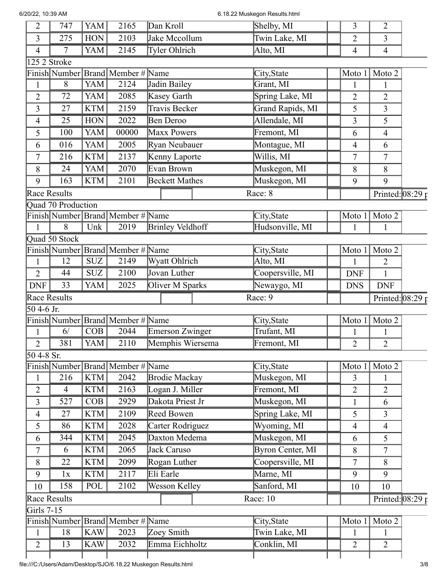6.18.22 Muskegon Results.html

| $\overline{2}$    | 747                | <b>YAM</b> | 2165                                  | Dan Kroll               | Shelby, MI       | 3              | $\overline{2}$             |  |
|-------------------|--------------------|------------|---------------------------------------|-------------------------|------------------|----------------|----------------------------|--|
| 3                 | 275                | <b>HON</b> | 2103                                  | Jake Mccollum           | Twin Lake, MI    | $\overline{2}$ | 3                          |  |
| 4                 | 7                  | <b>YAM</b> | 2145                                  | Tyler Ohlrich           | Alto, MI         | $\overline{4}$ | $\overline{4}$             |  |
|                   | 125 2 Stroke       |            |                                       |                         |                  |                |                            |  |
|                   |                    |            | Finish Number   Brand   Member # Name |                         | City, State      | Moto 1         | Moto 2                     |  |
| $\mathbf{1}$      | $8\,$              | YAM        | 2124                                  | Jadin Bailey            | Grant, MI        | 1              | $\mathbf{1}$               |  |
| $\overline{2}$    | 72                 | <b>YAM</b> | 2085                                  | Kasey Garth             | Spring Lake, MI  | $\overline{2}$ | $\overline{2}$             |  |
| 3                 | 27                 | <b>KTM</b> | 2159                                  | Travis Becker           | Grand Rapids, MI | 5              | 3                          |  |
| 4                 | 25                 | <b>HON</b> | 2022                                  | Ben Deroo               | Allendale, MI    | 3              | 5                          |  |
| 5                 | 100                | <b>YAM</b> | 00000                                 | <b>Maxx Powers</b>      | Fremont, MI      | 6              | $\overline{4}$             |  |
| 6                 | 016                | <b>YAM</b> | 2005                                  | Ryan Neubauer           | Montague, MI     | $\overline{4}$ | 6                          |  |
| 7                 | 216                | <b>KTM</b> | 2137                                  | Kenny Laporte           | Willis, MI       | 7              | 7                          |  |
| 8                 | 24                 | <b>YAM</b> | 2070                                  | Evan Brown              | Muskegon, MI     | 8              | 8                          |  |
| 9                 | 163                | <b>KTM</b> | 2101                                  | <b>Beckett Mathes</b>   | Muskegon, MI     | 9              | 9                          |  |
|                   | Race Results       |            |                                       |                         | Race: 8          |                | Printed: $\sqrt{08:29}$ p  |  |
|                   | Quad 70 Production |            |                                       |                         |                  |                |                            |  |
|                   |                    |            | Finish Number Brand Member # Name     |                         | City, State      | Moto 1         | Moto 2                     |  |
| 1                 | 8                  | Unk        | 2019                                  | <b>Brinley Veldhoff</b> | Hudsonville, MI  |                | 1                          |  |
|                   | Quad 50 Stock      |            |                                       |                         |                  |                |                            |  |
|                   |                    |            | Finish Number Brand Member # Name     |                         | City, State      | Moto 1         | Moto 2                     |  |
| 1                 | 12                 | <b>SUZ</b> | 2149                                  | Wyatt Ohlrich           | Alto, MI         |                | $\overline{2}$             |  |
| $\overline{2}$    | 44                 | <b>SUZ</b> | 2100                                  | Jovan Luther            | Coopersville, MI | <b>DNF</b>     | $\mathbf{1}$               |  |
| <b>DNF</b>        | 33                 | <b>YAM</b> | 2025                                  | Oliver M Sparks         | Newaygo, MI      | <b>DNS</b>     | <b>DNF</b>                 |  |
| Race Results      |                    |            |                                       |                         | Race: 9          |                | Printed: $08:29 \text{ p}$ |  |
| 50 4-6 Jr.        |                    |            |                                       |                         |                  |                |                            |  |
|                   |                    |            | Finish Number Brand Member # Name     |                         | City, State      | Moto 1         | Moto 2                     |  |
| 1                 | 6/                 | COB        | 2044                                  | <b>Emerson Zwinger</b>  | Trufant, MI      |                |                            |  |
| $\overline{2}$    | 381                | <b>YAM</b> | 2110                                  | Memphis Wiersema        | Fremont, MI      | $\overline{2}$ | $\overline{2}$             |  |
| $504-8$ Sr.       |                    |            |                                       |                         |                  |                |                            |  |
|                   |                    |            | Finish Number Brand Member # Name     |                         | City, State      | Moto 1         | Moto 2                     |  |
| $\mathbf{1}$      | 216                | <b>KTM</b> | 2042                                  | <b>Brodie Mackay</b>    | Muskegon, MI     | 3              | 1                          |  |
| 2                 | 4                  | <b>KTM</b> | 2163                                  | Logan J. Miller         | Fremont, MI      | $\overline{2}$ | $\overline{2}$             |  |
| 3                 | 527                | COB        | 2929                                  | Dakota Priest Jr        | Muskegon, MI     | $\mathbf{1}$   | 6                          |  |
| 4                 | 27                 | <b>KTM</b> | 2109                                  | <b>Reed Bowen</b>       | Spring Lake, MI  | 5              | $\overline{3}$             |  |
| 5                 | 86                 | <b>KTM</b> | 2028                                  | Carter Rodriguez        | Wyoming, MI      | $\overline{4}$ | $\overline{4}$             |  |
| 6                 | 344                | <b>KTM</b> | 2045                                  | Daxton Medema           | Muskegon, MI     | 6              | 5                          |  |
| 7                 | 6                  | <b>KTM</b> | 2065                                  | Jack Caruso             | Byron Center, MI | 8              | $\tau$                     |  |
| $\,8\,$           | 22                 | <b>KTM</b> | 2099                                  | Rogan Luther            | Coopersville, MI | $\overline{7}$ | 8                          |  |
| 9                 | 1x                 | <b>KTM</b> | 2117                                  | Eli Earle               | Marne, MI        | 9              | 9                          |  |
| 10                | 158                | POL        | 2102                                  | Wesson Kelley           | Sanford, MI      | 10             | 10                         |  |
|                   | Race Results       |            |                                       |                         | Race: 10         |                | Printed: $08:29 \text{ p}$ |  |
| <b>Girls 7-15</b> |                    |            |                                       |                         |                  |                |                            |  |
|                   |                    |            | Finish Number   Brand   Member #      | Name                    | City, State      | Moto 1         | Moto 2                     |  |
| $\mathbf{1}$      | 18                 | <b>KAW</b> | 2023                                  | Zoey Smith              | Twin Lake, MI    | 1              | $\mathbf{1}$               |  |
| $\overline{2}$    | 13                 | <b>KAW</b> | 2032                                  | Emma Eichholtz          | Conklin, MI      | $\overline{2}$ | $\overline{2}$             |  |

Т

┱

I

L

I

Τ

Г

Т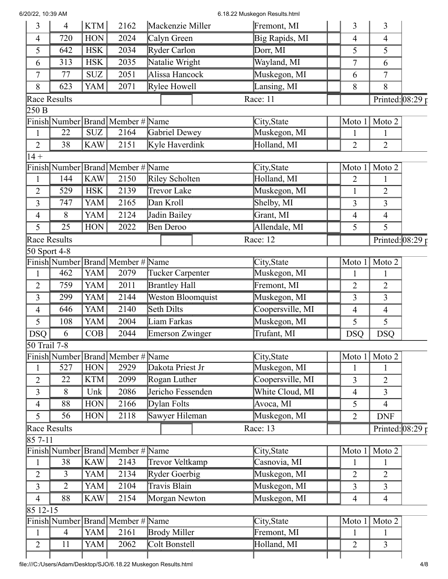| 6/20/22, 10:39 AM |  |  |  |
|-------------------|--|--|--|
|-------------------|--|--|--|

## 6.18.22 Muskegon Results.html

| 3                         | $\overline{4}$ | KTM        | 2162                                | Mackenzie Miller         | Fremont, MI      | 3                        | 3                          |  |
|---------------------------|----------------|------------|-------------------------------------|--------------------------|------------------|--------------------------|----------------------------|--|
| 4                         | 720            | <b>HON</b> | 2024                                | Calyn Green              | Big Rapids, MI   | $\overline{\mathcal{A}}$ | $\overline{4}$             |  |
| 5                         | 642            | <b>HSK</b> | 2034                                | Ryder Carlon             | Dorr, MI         | 5                        | 5                          |  |
| 6                         | 313            | <b>HSK</b> | 2035                                | Natalie Wright           | Wayland, MI      | $\tau$                   | 6                          |  |
| $\overline{7}$            | 77             | <b>SUZ</b> | 2051                                | Alissa Hancock           | Muskegon, MI     | 6                        | 7                          |  |
| 8                         | 623            | YAM        | 2071                                | Rylee Howell             | Lansing, MI      | 8                        | 8                          |  |
|                           | Race Results   |            |                                     |                          | Race: 11         |                          | Printed: $08:29 \text{ p}$ |  |
| 250 B                     |                |            |                                     |                          |                  |                          |                            |  |
|                           |                |            | Finish Number Brand Member # Name   |                          | City, State      | Moto 1                   | Moto 2                     |  |
| $\mathbf{1}$              | 22             | <b>SUZ</b> | 2164                                | Gabriel Dewey            | Muskegon, MI     | 1                        | 1                          |  |
| $\overline{2}$            | 38             | <b>KAW</b> | 2151                                | Kyle Haverdink           | Holland, MI      | $\overline{2}$           | $\overline{2}$             |  |
| $14 +$                    |                |            |                                     |                          |                  |                          |                            |  |
|                           |                |            | Finish Number Brand Member # Name   |                          | City, State      | Moto 1                   | Moto 2                     |  |
| $\mathbf{1}$              | 144            | <b>KAW</b> | 2150                                | Riley Scholten           | Holland, MI      | $\overline{2}$           | $\mathbf{1}$               |  |
| $\overline{2}$            | 529            | <b>HSK</b> | 2139                                | <b>Trevor Lake</b>       | Muskegon, MI     | $\mathbf{1}$             | $\overline{2}$             |  |
| 3                         | 747            | YAM        | 2165                                | Dan Kroll                | Shelby, MI       | 3                        | 3                          |  |
| 4                         | 8              | <b>YAM</b> | 2124                                | Jadin Bailey             | Grant, MI        | $\overline{4}$           | $\overline{4}$             |  |
| 5                         | 25             | <b>HON</b> | 2022                                | Ben Deroo                | Allendale, MI    | 5                        | 5                          |  |
|                           | Race Results   |            |                                     |                          | Race: 12         |                          | Printed: $08:29 \text{ p}$ |  |
|                           | 50 Sport 4-8   |            |                                     |                          |                  |                          |                            |  |
|                           |                |            | Finish Number Brand   Member # Name |                          | City, State      | Moto 1                   | Moto 2                     |  |
| 1                         | 462            | YAM        | 2079                                | Tucker Carpenter         | Muskegon, MI     | 1                        | 1                          |  |
| $\overline{2}$            | 759            | YAM        | 2011                                | <b>Brantley Hall</b>     | Fremont, MI      | 2                        | $\overline{2}$             |  |
| 3                         | 299            | YAM        | 2144                                | <b>Weston Bloomquist</b> | Muskegon, MI     | 3                        | 3                          |  |
| $\overline{4}$            | 646            | <b>YAM</b> | 2140                                | Seth Dilts               | Coopersville, MI | 4                        | $\overline{4}$             |  |
| 5                         | 108            | YAM        | 2004                                | Liam Farkas              | Muskegon, MI     | 5                        | 5                          |  |
| <b>DSQ</b>                | 6              | COB        | 2044                                | Emerson Zwinger          | Trufant, MI      | <b>DSQ</b>               | <b>DSQ</b>                 |  |
| $\overline{50}$ Trail 7-8 |                |            |                                     |                          |                  |                          |                            |  |
|                           |                |            | Finish Number Brand Member # Name   |                          | City, State      | Moto $1$                 | Moto 2                     |  |
| $\mathbf{1}$              | 527            | HON        | 2929                                | Dakota Priest Jr         | Muskegon, MI     | 1                        |                            |  |
| $\overline{2}$            | 22             | KTM        | 2099                                | Rogan Luther             | Coopersville, MI | 3                        | $\overline{2}$             |  |
| 3                         | 8              | Unk        | 2086                                | Jericho Fessenden        | White Cloud, MI  | $\overline{4}$           | 3                          |  |
| $\overline{4}$            | 88             | <b>HON</b> | 2166                                | Dylan Folts              | Avoca, MI        | 5                        | $\overline{4}$             |  |
| 5                         | 56             | <b>HON</b> | 2118                                | Sawyer Hileman           | Muskegon, MI     | $\overline{2}$           | <b>DNF</b>                 |  |
|                           | Race Results   |            |                                     |                          | Race: 13         |                          | Printed: $08:29r$          |  |
| 85 7-11                   |                |            |                                     |                          |                  |                          |                            |  |
|                           |                |            | Finish Number Brand Member #        | Name                     | City, State      | Moto 1                   | Moto 2                     |  |
| $\mathbf{1}$              | 38             | <b>KAW</b> | 2143                                | Trevor Veltkamp          | Casnovia, MI     | 1                        | 1                          |  |
| $\overline{2}$            | 3              | YAM        | 2134                                | Ryder Goerbig            | Muskegon, MI     | 2                        | $\overline{2}$             |  |
| 3                         | $\overline{2}$ | YAM        | 2104                                | Travis Blain             | Muskegon, MI     | 3                        | 3                          |  |
| $\overline{4}$            | 88             | <b>KAW</b> | 2154                                | Morgan Newton            | Muskegon, MI     | $\overline{4}$           | $\overline{4}$             |  |
| 85 12-15                  |                |            |                                     |                          |                  |                          |                            |  |
|                           |                |            | Finish Number Brand Member # Name   |                          | City, State      | Moto 1                   | Moto 2                     |  |
| $\mathbf{1}$              | $\overline{4}$ | YAM        | 2161                                | Brody Miller             | Fremont, MI      | 1                        | 1                          |  |
| $\overline{2}$            | 11             | YAM        | 2062                                | Colt Bonstell            | Holland, MI      | 2                        | $\overline{3}$             |  |
|                           |                |            |                                     |                          |                  |                          |                            |  |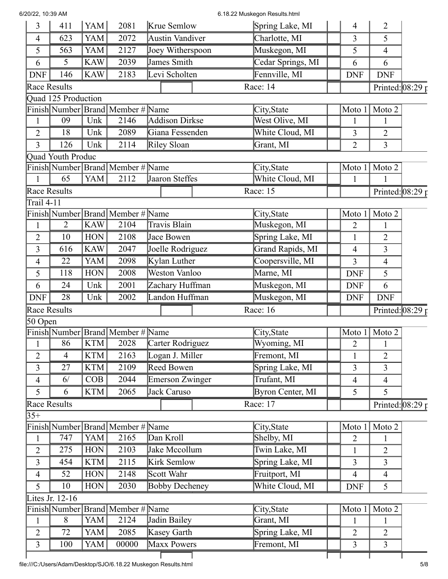## 6/20/22, 10:39 AM 6.18.22 Muskegon Results.html

| 3                   | 411                      | YAM        | 2081                                  | Krue Semlow            | Spring Lake, MI   | 4              | $\overline{2}$             |  |
|---------------------|--------------------------|------------|---------------------------------------|------------------------|-------------------|----------------|----------------------------|--|
| $\overline{4}$      | 623                      | YAM        | 2072                                  | Austin Vandiver        | Charlotte, MI     | 3              | 5                          |  |
| 5                   | 563                      | YAM        | 2127                                  | Joey Witherspoon       | Muskegon, MI      | 5              | 4                          |  |
| 6                   | 5                        | <b>KAW</b> | 2039                                  | James Smith            | Cedar Springs, MI | 6              | 6                          |  |
| <b>DNF</b>          | 146                      | KAW        | 2183                                  | Levi Scholten          | Fennville, MI     | <b>DNF</b>     | <b>DNF</b>                 |  |
| <b>Race Results</b> |                          |            |                                       |                        | Race: 14          |                | Printed: $08:29 \text{ p}$ |  |
|                     | Quad 125 Production      |            |                                       |                        |                   |                |                            |  |
|                     |                          |            | Finish Number Brand Member # Name     |                        | City, State       | Moto 1         | Moto 2                     |  |
| $\mathbf{1}$        | 09                       | Unk        | 2146                                  | Addison Dirkse         | West Olive, MI    | 1              | 1                          |  |
| $\overline{2}$      | 18                       | Unk        | 2089                                  | Giana Fessenden        | White Cloud, MI   | 3              | $\overline{2}$             |  |
| 3                   | 126                      | Unk        | 2114                                  | Riley Sloan            | Grant, MI         | $\overline{2}$ | $\overline{3}$             |  |
|                     | <b>Quad Youth Produc</b> |            |                                       |                        |                   |                |                            |  |
|                     |                          |            | Finish Number Brand Member # Name     |                        | City, State       | Moto 1         | Moto 2                     |  |
| $\mathbf{1}$        | 65                       | YAM        | 2112                                  | Jaaron Steffes         | White Cloud, MI   | $\mathbf{1}$   | $\mathbf{1}$               |  |
| Race Results        |                          |            |                                       |                        | Race: 15          |                | Printed: $08:29 \tau$      |  |
| Trail 4-11          |                          |            |                                       |                        |                   |                |                            |  |
|                     |                          |            | Finish Number Brand Member # Name     |                        | City, State       | Moto 1         | Moto 2                     |  |
| $\mathbf{1}$        | $\overline{2}$           | <b>KAW</b> | 2104                                  | <b>Travis Blain</b>    | Muskegon, MI      | 2              |                            |  |
| $\overline{2}$      | 10                       | <b>HON</b> | 2108                                  | Jace Bowen             | Spring Lake, MI   | $\mathbf{1}$   | $\overline{2}$             |  |
| 3                   | 616                      | <b>KAW</b> | 2047                                  | Joelle Rodriguez       | Grand Rapids, MI  | $\overline{4}$ | $\overline{3}$             |  |
| 4                   | 22                       | YAM        | 2098                                  | Kylan Luther           | Coopersville, MI  | 3              | $\overline{4}$             |  |
| 5                   | 118                      | <b>HON</b> | 2008                                  | <b>Weston Vanloo</b>   | Marne, MI         | <b>DNF</b>     | 5                          |  |
| 6                   | 24                       | Unk        | 2001                                  | Zachary Huffman        | Muskegon, MI      | <b>DNF</b>     | 6                          |  |
| <b>DNF</b>          | 28                       | Unk        | 2002                                  | Landon Huffman         | Muskegon, MI      | <b>DNF</b>     | <b>DNF</b>                 |  |
| Race Results        |                          |            |                                       |                        | Race: 16          |                | Printed: $08:29 \text{ p}$ |  |
| 50 Open             |                          |            |                                       |                        |                   |                |                            |  |
|                     |                          |            | Finish Number   Brand   Member # Name |                        | City, State       | Moto 1         | Moto 2                     |  |
|                     | 86                       | KTM        | 2028                                  | Carter Rodriguez       | Wyoming, MI       | 2              | 1                          |  |
| $\overline{2}$      | $\overline{4}$           | KTM        | 2163                                  | Logan J. Miller        | Fremont, MI       | $\mathbf{1}$   | $\overline{2}$             |  |
| 3                   | 27                       | <b>KTM</b> | 2109                                  | Reed Bowen             | Spring Lake, MI   | 3              | $\overline{3}$             |  |
| $\overline{4}$      | 6/                       | COB        | 2044                                  | <b>Emerson Zwinger</b> | Trufant, MI       | $\overline{4}$ | 4                          |  |
| 5                   | 6                        | KTM        | 2065                                  | Jack Caruso            | Byron Center, MI  | 5              | 5                          |  |
| Race Results        |                          |            |                                       |                        | Race: 17          |                | Printed: $08:29 \text{ p}$ |  |
| $35+$               |                          |            |                                       |                        |                   |                |                            |  |
|                     |                          |            | Finish Number Brand Member # Name     |                        | City, State       | Moto 1         | Moto 2                     |  |
| $\mathbf{1}$        | 747                      | <b>YAM</b> | 2165                                  | Dan Kroll              | Shelby, MI        | $\overline{2}$ | 1                          |  |
| $\overline{2}$      | 275                      | HON        | 2103                                  | Jake Mccollum          | Twin Lake, MI     | 1              | $\overline{2}$             |  |
| 3                   | 454                      | <b>KTM</b> | 2115                                  | Kirk Semlow            | Spring Lake, MI   | 3              | 3                          |  |
| $\overline{4}$      | 52                       | HON        | 2148                                  | Scott Wahr             | Fruitport, MI     | $\overline{4}$ | $\overline{4}$             |  |
| 5                   | 10                       | HON        | 2030                                  | <b>Bobby Decheney</b>  | White Cloud, MI   | <b>DNF</b>     | 5                          |  |
|                     | Lites Jr. 12-16          |            |                                       |                        |                   |                |                            |  |
|                     |                          |            | Finish Number Brand Member # Name     |                        | City, State       | Moto 1         | Moto 2                     |  |
| $\mathbf{1}$        | 8                        | YAM        | 2124                                  | Jadin Bailey           | Grant, MI         | $\mathbf{1}$   | 1                          |  |
| $\overline{2}$      | 72                       | YAM        | 2085                                  | Kasey Garth            | Spring Lake, MI   | 2              | $\overline{2}$             |  |
| $\overline{3}$      | 100                      | YAM        | 00000                                 | Maxx Powers            | Fremont, MI       | 3              | $\overline{3}$             |  |
|                     |                          |            |                                       |                        |                   |                |                            |  |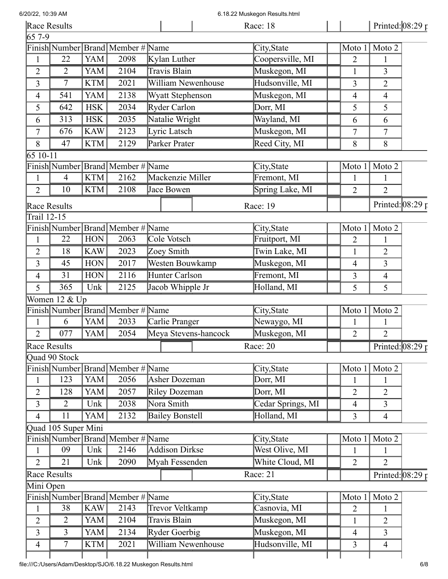6.18.22 Muskegon Results.html

| $657-9$<br>Finish Number Brand Member # Name<br>City, State<br>Moto 2<br>Moto 1<br><b>YAM</b><br>2098<br>Kylan Luther<br>Coopersville, MI<br>22<br>$\overline{2}$<br>$\mathbf{1}$<br>$\mathbf{1}$<br>Travis Blain<br>Muskegon, MI<br>YAM<br>2104<br>$\overline{2}$<br>2<br>$\mathbf{1}$<br>3<br>2021<br>William Newenhouse<br>Hudsonville, MI<br><b>KTM</b><br>3<br>$\overline{3}$<br>7<br>$\overline{2}$<br>YAM<br>2138<br>Muskegon, MI<br><b>Wyatt Stephenson</b><br>541<br>4<br>$\overline{4}$<br>$\overline{4}$<br>2034<br>Dorr, MI<br>642<br><b>HSK</b><br>Ryder Carlon<br>5<br>5<br>5<br>2035<br>Natalie Wright<br>Wayland, MI<br><b>HSK</b><br>313<br>6<br>6<br>6<br><b>KAW</b><br>Lyric Latsch<br>Muskegon, MI<br>2123<br>7<br>676<br>7<br>7<br>Reed City, MI<br><b>KTM</b><br>2129<br>Parker Prater<br>47<br>8<br>8<br>8<br>65 10-11<br>Finish Number Brand Member # Name<br>Moto 2<br>City, State<br>Moto 1<br>2162<br>Mackenzie Miller<br>$\overline{4}$<br><b>KTM</b><br>Fremont, MI<br>$\mathbf{1}$<br>$\mathbf{1}$<br>1<br>Spring Lake, MI<br>KTM<br>2108<br>Jace Bowen<br>$\overline{2}$<br>$\overline{2}$<br>$\overline{2}$<br>10<br><b>Race Results</b><br>Race: 19<br>Trail 12-15<br>Finish Number Brand Member # Name<br>City, State<br>Moto 2<br>Moto 1<br>22<br><b>HON</b><br>2063<br>Cole Votsch<br>Fruitport, $\overline{\text{MI}}$<br>$\overline{2}$<br>$\mathbf{1}$<br>1<br>2023<br><b>KAW</b><br>Zoey Smith<br>Twin Lake, MI<br>$\overline{2}$<br>18<br>$\mathbf{1}$<br>$\overline{2}$<br>Westen Bouwkamp<br>Muskegon, MI<br><b>HON</b><br>2017<br>45<br>$\overline{3}$<br>3<br>$\overline{4}$<br>Hunter Carlson<br>31<br><b>HON</b><br>2116<br>Fremont, MI<br>3<br>$\overline{4}$<br>$\overline{4}$<br>365<br>2125<br>Jacob Whipple Jr<br>Holland, MI<br>5<br>Unk<br>5<br>5<br>Women 12 & Up<br>Finish Number Brand Member # Name<br>Moto 2<br>City, State<br>Moto 1<br>YAM<br>2033<br>Carlie Pranger<br>6<br>Newaygo, MI<br>$\mathbf{1}$<br>$\mathbf{1}$<br>$\mathbf{1}$<br>Muskegon, MI<br>YAM<br>2054<br>Meya Stevens-hancock<br>077<br>$\overline{2}$<br>$\overline{2}$<br>$\overline{2}$<br>Race: $20$<br><b>Race Results</b><br><b>Ouad 90 Stock</b><br>Finish Number Brand Member # Name<br>Moto 2<br>City, State<br>Moto 1<br><b>YAM</b><br>123<br>2056<br>Asher Dozeman<br>Dorr, MI<br>$\mathbf{1}$<br>$\mathbf{1}$<br>$\mathbf{1}$<br>2057<br>YAM<br>Dorr, MI<br>$\overline{2}$<br>128<br>Riley Dozeman<br>2<br>$\overline{2}$<br>2038<br>Nora Smith<br>Cedar Springs, MI<br>Unk<br>3<br>2<br>$\overline{\mathcal{L}}$<br>3<br>YAM<br><b>Bailey Bonstell</b><br>Holland, MI<br>2132<br>11<br>$\overline{4}$<br>3<br>$\overline{4}$<br>Quad 105 Super Mini<br>Finish Number Brand Member # Name<br>Moto 2<br>City, State<br>Moto 1<br>Addison Dirkse<br>West Olive, MI<br>09<br>Unk<br>2146<br>$\mathbf{1}$<br>$\mathbf{1}$<br>$\mathbf{1}$<br>2090<br>White Cloud, MI<br>21<br>Unk<br>Myah Fessenden<br>$\overline{2}$<br>$\overline{2}$<br>$\overline{2}$<br><b>Race Results</b><br>Race: 21<br>Mini Open<br>Finish Number Brand Member # Name<br>Moto 2<br>City, State<br>Moto 1<br><b>KAW</b><br>38<br>2143<br><b>Trevor Veltkamp</b><br>Casnovia, MI<br>2<br>$\mathbf{1}$<br>Travis Blain<br>Muskegon, MI<br>$\overline{2}$<br>YAM<br>2104<br>$\overline{2}$<br>$\overline{2}$<br>$\mathbf{1}$<br>Muskegon, MI<br>$\overline{3}$<br>$\overline{3}$<br>YAM<br>2134<br>Ryder Goerbig<br>$\overline{3}$<br>4<br>William Newenhouse |                | Race Results |     |      | Race: 18        |   | Printed: $08:29$ p |  |
|---------------------------------------------------------------------------------------------------------------------------------------------------------------------------------------------------------------------------------------------------------------------------------------------------------------------------------------------------------------------------------------------------------------------------------------------------------------------------------------------------------------------------------------------------------------------------------------------------------------------------------------------------------------------------------------------------------------------------------------------------------------------------------------------------------------------------------------------------------------------------------------------------------------------------------------------------------------------------------------------------------------------------------------------------------------------------------------------------------------------------------------------------------------------------------------------------------------------------------------------------------------------------------------------------------------------------------------------------------------------------------------------------------------------------------------------------------------------------------------------------------------------------------------------------------------------------------------------------------------------------------------------------------------------------------------------------------------------------------------------------------------------------------------------------------------------------------------------------------------------------------------------------------------------------------------------------------------------------------------------------------------------------------------------------------------------------------------------------------------------------------------------------------------------------------------------------------------------------------------------------------------------------------------------------------------------------------------------------------------------------------------------------------------------------------------------------------------------------------------------------------------------------------------------------------------------------------------------------------------------------------------------------------------------------------------------------------------------------------------------------------------------------------------------------------------------------------------------------------------------------------------------------------------------------------------------------------------------------------------------------------------------------------------------------------------------------------------------------------------------------------------------------------------------------------------------------------------------------------------------------------------------------------------------------------------------------------------------------------------------------------------------------------------------------------------------------------------------------|----------------|--------------|-----|------|-----------------|---|--------------------|--|
|                                                                                                                                                                                                                                                                                                                                                                                                                                                                                                                                                                                                                                                                                                                                                                                                                                                                                                                                                                                                                                                                                                                                                                                                                                                                                                                                                                                                                                                                                                                                                                                                                                                                                                                                                                                                                                                                                                                                                                                                                                                                                                                                                                                                                                                                                                                                                                                                                                                                                                                                                                                                                                                                                                                                                                                                                                                                                                                                                                                                                                                                                                                                                                                                                                                                                                                                                                                                                                                                           |                |              |     |      |                 |   |                    |  |
|                                                                                                                                                                                                                                                                                                                                                                                                                                                                                                                                                                                                                                                                                                                                                                                                                                                                                                                                                                                                                                                                                                                                                                                                                                                                                                                                                                                                                                                                                                                                                                                                                                                                                                                                                                                                                                                                                                                                                                                                                                                                                                                                                                                                                                                                                                                                                                                                                                                                                                                                                                                                                                                                                                                                                                                                                                                                                                                                                                                                                                                                                                                                                                                                                                                                                                                                                                                                                                                                           |                |              |     |      |                 |   |                    |  |
|                                                                                                                                                                                                                                                                                                                                                                                                                                                                                                                                                                                                                                                                                                                                                                                                                                                                                                                                                                                                                                                                                                                                                                                                                                                                                                                                                                                                                                                                                                                                                                                                                                                                                                                                                                                                                                                                                                                                                                                                                                                                                                                                                                                                                                                                                                                                                                                                                                                                                                                                                                                                                                                                                                                                                                                                                                                                                                                                                                                                                                                                                                                                                                                                                                                                                                                                                                                                                                                                           |                |              |     |      |                 |   |                    |  |
|                                                                                                                                                                                                                                                                                                                                                                                                                                                                                                                                                                                                                                                                                                                                                                                                                                                                                                                                                                                                                                                                                                                                                                                                                                                                                                                                                                                                                                                                                                                                                                                                                                                                                                                                                                                                                                                                                                                                                                                                                                                                                                                                                                                                                                                                                                                                                                                                                                                                                                                                                                                                                                                                                                                                                                                                                                                                                                                                                                                                                                                                                                                                                                                                                                                                                                                                                                                                                                                                           |                |              |     |      |                 |   |                    |  |
|                                                                                                                                                                                                                                                                                                                                                                                                                                                                                                                                                                                                                                                                                                                                                                                                                                                                                                                                                                                                                                                                                                                                                                                                                                                                                                                                                                                                                                                                                                                                                                                                                                                                                                                                                                                                                                                                                                                                                                                                                                                                                                                                                                                                                                                                                                                                                                                                                                                                                                                                                                                                                                                                                                                                                                                                                                                                                                                                                                                                                                                                                                                                                                                                                                                                                                                                                                                                                                                                           |                |              |     |      |                 |   |                    |  |
|                                                                                                                                                                                                                                                                                                                                                                                                                                                                                                                                                                                                                                                                                                                                                                                                                                                                                                                                                                                                                                                                                                                                                                                                                                                                                                                                                                                                                                                                                                                                                                                                                                                                                                                                                                                                                                                                                                                                                                                                                                                                                                                                                                                                                                                                                                                                                                                                                                                                                                                                                                                                                                                                                                                                                                                                                                                                                                                                                                                                                                                                                                                                                                                                                                                                                                                                                                                                                                                                           |                |              |     |      |                 |   |                    |  |
| Printed: $08:29 \text{ p}$                                                                                                                                                                                                                                                                                                                                                                                                                                                                                                                                                                                                                                                                                                                                                                                                                                                                                                                                                                                                                                                                                                                                                                                                                                                                                                                                                                                                                                                                                                                                                                                                                                                                                                                                                                                                                                                                                                                                                                                                                                                                                                                                                                                                                                                                                                                                                                                                                                                                                                                                                                                                                                                                                                                                                                                                                                                                                                                                                                                                                                                                                                                                                                                                                                                                                                                                                                                                                                                |                |              |     |      |                 |   |                    |  |
|                                                                                                                                                                                                                                                                                                                                                                                                                                                                                                                                                                                                                                                                                                                                                                                                                                                                                                                                                                                                                                                                                                                                                                                                                                                                                                                                                                                                                                                                                                                                                                                                                                                                                                                                                                                                                                                                                                                                                                                                                                                                                                                                                                                                                                                                                                                                                                                                                                                                                                                                                                                                                                                                                                                                                                                                                                                                                                                                                                                                                                                                                                                                                                                                                                                                                                                                                                                                                                                                           |                |              |     |      |                 |   |                    |  |
|                                                                                                                                                                                                                                                                                                                                                                                                                                                                                                                                                                                                                                                                                                                                                                                                                                                                                                                                                                                                                                                                                                                                                                                                                                                                                                                                                                                                                                                                                                                                                                                                                                                                                                                                                                                                                                                                                                                                                                                                                                                                                                                                                                                                                                                                                                                                                                                                                                                                                                                                                                                                                                                                                                                                                                                                                                                                                                                                                                                                                                                                                                                                                                                                                                                                                                                                                                                                                                                                           |                |              |     |      |                 |   |                    |  |
|                                                                                                                                                                                                                                                                                                                                                                                                                                                                                                                                                                                                                                                                                                                                                                                                                                                                                                                                                                                                                                                                                                                                                                                                                                                                                                                                                                                                                                                                                                                                                                                                                                                                                                                                                                                                                                                                                                                                                                                                                                                                                                                                                                                                                                                                                                                                                                                                                                                                                                                                                                                                                                                                                                                                                                                                                                                                                                                                                                                                                                                                                                                                                                                                                                                                                                                                                                                                                                                                           |                |              |     |      |                 |   |                    |  |
|                                                                                                                                                                                                                                                                                                                                                                                                                                                                                                                                                                                                                                                                                                                                                                                                                                                                                                                                                                                                                                                                                                                                                                                                                                                                                                                                                                                                                                                                                                                                                                                                                                                                                                                                                                                                                                                                                                                                                                                                                                                                                                                                                                                                                                                                                                                                                                                                                                                                                                                                                                                                                                                                                                                                                                                                                                                                                                                                                                                                                                                                                                                                                                                                                                                                                                                                                                                                                                                                           |                |              |     |      |                 |   |                    |  |
|                                                                                                                                                                                                                                                                                                                                                                                                                                                                                                                                                                                                                                                                                                                                                                                                                                                                                                                                                                                                                                                                                                                                                                                                                                                                                                                                                                                                                                                                                                                                                                                                                                                                                                                                                                                                                                                                                                                                                                                                                                                                                                                                                                                                                                                                                                                                                                                                                                                                                                                                                                                                                                                                                                                                                                                                                                                                                                                                                                                                                                                                                                                                                                                                                                                                                                                                                                                                                                                                           |                |              |     |      |                 |   |                    |  |
| Printed: $08:29 \text{ p}$<br>Printed: $08:29 \text{ p}$                                                                                                                                                                                                                                                                                                                                                                                                                                                                                                                                                                                                                                                                                                                                                                                                                                                                                                                                                                                                                                                                                                                                                                                                                                                                                                                                                                                                                                                                                                                                                                                                                                                                                                                                                                                                                                                                                                                                                                                                                                                                                                                                                                                                                                                                                                                                                                                                                                                                                                                                                                                                                                                                                                                                                                                                                                                                                                                                                                                                                                                                                                                                                                                                                                                                                                                                                                                                                  |                |              |     |      |                 |   |                    |  |
|                                                                                                                                                                                                                                                                                                                                                                                                                                                                                                                                                                                                                                                                                                                                                                                                                                                                                                                                                                                                                                                                                                                                                                                                                                                                                                                                                                                                                                                                                                                                                                                                                                                                                                                                                                                                                                                                                                                                                                                                                                                                                                                                                                                                                                                                                                                                                                                                                                                                                                                                                                                                                                                                                                                                                                                                                                                                                                                                                                                                                                                                                                                                                                                                                                                                                                                                                                                                                                                                           |                |              |     |      |                 |   |                    |  |
|                                                                                                                                                                                                                                                                                                                                                                                                                                                                                                                                                                                                                                                                                                                                                                                                                                                                                                                                                                                                                                                                                                                                                                                                                                                                                                                                                                                                                                                                                                                                                                                                                                                                                                                                                                                                                                                                                                                                                                                                                                                                                                                                                                                                                                                                                                                                                                                                                                                                                                                                                                                                                                                                                                                                                                                                                                                                                                                                                                                                                                                                                                                                                                                                                                                                                                                                                                                                                                                                           |                |              |     |      |                 |   |                    |  |
|                                                                                                                                                                                                                                                                                                                                                                                                                                                                                                                                                                                                                                                                                                                                                                                                                                                                                                                                                                                                                                                                                                                                                                                                                                                                                                                                                                                                                                                                                                                                                                                                                                                                                                                                                                                                                                                                                                                                                                                                                                                                                                                                                                                                                                                                                                                                                                                                                                                                                                                                                                                                                                                                                                                                                                                                                                                                                                                                                                                                                                                                                                                                                                                                                                                                                                                                                                                                                                                                           |                |              |     |      |                 |   |                    |  |
|                                                                                                                                                                                                                                                                                                                                                                                                                                                                                                                                                                                                                                                                                                                                                                                                                                                                                                                                                                                                                                                                                                                                                                                                                                                                                                                                                                                                                                                                                                                                                                                                                                                                                                                                                                                                                                                                                                                                                                                                                                                                                                                                                                                                                                                                                                                                                                                                                                                                                                                                                                                                                                                                                                                                                                                                                                                                                                                                                                                                                                                                                                                                                                                                                                                                                                                                                                                                                                                                           |                |              |     |      |                 |   |                    |  |
|                                                                                                                                                                                                                                                                                                                                                                                                                                                                                                                                                                                                                                                                                                                                                                                                                                                                                                                                                                                                                                                                                                                                                                                                                                                                                                                                                                                                                                                                                                                                                                                                                                                                                                                                                                                                                                                                                                                                                                                                                                                                                                                                                                                                                                                                                                                                                                                                                                                                                                                                                                                                                                                                                                                                                                                                                                                                                                                                                                                                                                                                                                                                                                                                                                                                                                                                                                                                                                                                           |                |              |     |      |                 |   |                    |  |
|                                                                                                                                                                                                                                                                                                                                                                                                                                                                                                                                                                                                                                                                                                                                                                                                                                                                                                                                                                                                                                                                                                                                                                                                                                                                                                                                                                                                                                                                                                                                                                                                                                                                                                                                                                                                                                                                                                                                                                                                                                                                                                                                                                                                                                                                                                                                                                                                                                                                                                                                                                                                                                                                                                                                                                                                                                                                                                                                                                                                                                                                                                                                                                                                                                                                                                                                                                                                                                                                           |                |              |     |      |                 |   |                    |  |
|                                                                                                                                                                                                                                                                                                                                                                                                                                                                                                                                                                                                                                                                                                                                                                                                                                                                                                                                                                                                                                                                                                                                                                                                                                                                                                                                                                                                                                                                                                                                                                                                                                                                                                                                                                                                                                                                                                                                                                                                                                                                                                                                                                                                                                                                                                                                                                                                                                                                                                                                                                                                                                                                                                                                                                                                                                                                                                                                                                                                                                                                                                                                                                                                                                                                                                                                                                                                                                                                           |                |              |     |      |                 |   |                    |  |
|                                                                                                                                                                                                                                                                                                                                                                                                                                                                                                                                                                                                                                                                                                                                                                                                                                                                                                                                                                                                                                                                                                                                                                                                                                                                                                                                                                                                                                                                                                                                                                                                                                                                                                                                                                                                                                                                                                                                                                                                                                                                                                                                                                                                                                                                                                                                                                                                                                                                                                                                                                                                                                                                                                                                                                                                                                                                                                                                                                                                                                                                                                                                                                                                                                                                                                                                                                                                                                                                           |                |              |     |      |                 |   |                    |  |
|                                                                                                                                                                                                                                                                                                                                                                                                                                                                                                                                                                                                                                                                                                                                                                                                                                                                                                                                                                                                                                                                                                                                                                                                                                                                                                                                                                                                                                                                                                                                                                                                                                                                                                                                                                                                                                                                                                                                                                                                                                                                                                                                                                                                                                                                                                                                                                                                                                                                                                                                                                                                                                                                                                                                                                                                                                                                                                                                                                                                                                                                                                                                                                                                                                                                                                                                                                                                                                                                           |                |              |     |      |                 |   |                    |  |
|                                                                                                                                                                                                                                                                                                                                                                                                                                                                                                                                                                                                                                                                                                                                                                                                                                                                                                                                                                                                                                                                                                                                                                                                                                                                                                                                                                                                                                                                                                                                                                                                                                                                                                                                                                                                                                                                                                                                                                                                                                                                                                                                                                                                                                                                                                                                                                                                                                                                                                                                                                                                                                                                                                                                                                                                                                                                                                                                                                                                                                                                                                                                                                                                                                                                                                                                                                                                                                                                           |                |              |     |      |                 |   |                    |  |
|                                                                                                                                                                                                                                                                                                                                                                                                                                                                                                                                                                                                                                                                                                                                                                                                                                                                                                                                                                                                                                                                                                                                                                                                                                                                                                                                                                                                                                                                                                                                                                                                                                                                                                                                                                                                                                                                                                                                                                                                                                                                                                                                                                                                                                                                                                                                                                                                                                                                                                                                                                                                                                                                                                                                                                                                                                                                                                                                                                                                                                                                                                                                                                                                                                                                                                                                                                                                                                                                           |                |              |     |      |                 |   |                    |  |
|                                                                                                                                                                                                                                                                                                                                                                                                                                                                                                                                                                                                                                                                                                                                                                                                                                                                                                                                                                                                                                                                                                                                                                                                                                                                                                                                                                                                                                                                                                                                                                                                                                                                                                                                                                                                                                                                                                                                                                                                                                                                                                                                                                                                                                                                                                                                                                                                                                                                                                                                                                                                                                                                                                                                                                                                                                                                                                                                                                                                                                                                                                                                                                                                                                                                                                                                                                                                                                                                           |                |              |     |      |                 |   |                    |  |
|                                                                                                                                                                                                                                                                                                                                                                                                                                                                                                                                                                                                                                                                                                                                                                                                                                                                                                                                                                                                                                                                                                                                                                                                                                                                                                                                                                                                                                                                                                                                                                                                                                                                                                                                                                                                                                                                                                                                                                                                                                                                                                                                                                                                                                                                                                                                                                                                                                                                                                                                                                                                                                                                                                                                                                                                                                                                                                                                                                                                                                                                                                                                                                                                                                                                                                                                                                                                                                                                           |                |              |     |      |                 |   |                    |  |
|                                                                                                                                                                                                                                                                                                                                                                                                                                                                                                                                                                                                                                                                                                                                                                                                                                                                                                                                                                                                                                                                                                                                                                                                                                                                                                                                                                                                                                                                                                                                                                                                                                                                                                                                                                                                                                                                                                                                                                                                                                                                                                                                                                                                                                                                                                                                                                                                                                                                                                                                                                                                                                                                                                                                                                                                                                                                                                                                                                                                                                                                                                                                                                                                                                                                                                                                                                                                                                                                           |                |              |     |      |                 |   |                    |  |
|                                                                                                                                                                                                                                                                                                                                                                                                                                                                                                                                                                                                                                                                                                                                                                                                                                                                                                                                                                                                                                                                                                                                                                                                                                                                                                                                                                                                                                                                                                                                                                                                                                                                                                                                                                                                                                                                                                                                                                                                                                                                                                                                                                                                                                                                                                                                                                                                                                                                                                                                                                                                                                                                                                                                                                                                                                                                                                                                                                                                                                                                                                                                                                                                                                                                                                                                                                                                                                                                           |                |              |     |      |                 |   |                    |  |
|                                                                                                                                                                                                                                                                                                                                                                                                                                                                                                                                                                                                                                                                                                                                                                                                                                                                                                                                                                                                                                                                                                                                                                                                                                                                                                                                                                                                                                                                                                                                                                                                                                                                                                                                                                                                                                                                                                                                                                                                                                                                                                                                                                                                                                                                                                                                                                                                                                                                                                                                                                                                                                                                                                                                                                                                                                                                                                                                                                                                                                                                                                                                                                                                                                                                                                                                                                                                                                                                           |                |              |     |      |                 |   |                    |  |
|                                                                                                                                                                                                                                                                                                                                                                                                                                                                                                                                                                                                                                                                                                                                                                                                                                                                                                                                                                                                                                                                                                                                                                                                                                                                                                                                                                                                                                                                                                                                                                                                                                                                                                                                                                                                                                                                                                                                                                                                                                                                                                                                                                                                                                                                                                                                                                                                                                                                                                                                                                                                                                                                                                                                                                                                                                                                                                                                                                                                                                                                                                                                                                                                                                                                                                                                                                                                                                                                           |                |              |     |      |                 |   |                    |  |
|                                                                                                                                                                                                                                                                                                                                                                                                                                                                                                                                                                                                                                                                                                                                                                                                                                                                                                                                                                                                                                                                                                                                                                                                                                                                                                                                                                                                                                                                                                                                                                                                                                                                                                                                                                                                                                                                                                                                                                                                                                                                                                                                                                                                                                                                                                                                                                                                                                                                                                                                                                                                                                                                                                                                                                                                                                                                                                                                                                                                                                                                                                                                                                                                                                                                                                                                                                                                                                                                           |                |              |     |      |                 |   |                    |  |
|                                                                                                                                                                                                                                                                                                                                                                                                                                                                                                                                                                                                                                                                                                                                                                                                                                                                                                                                                                                                                                                                                                                                                                                                                                                                                                                                                                                                                                                                                                                                                                                                                                                                                                                                                                                                                                                                                                                                                                                                                                                                                                                                                                                                                                                                                                                                                                                                                                                                                                                                                                                                                                                                                                                                                                                                                                                                                                                                                                                                                                                                                                                                                                                                                                                                                                                                                                                                                                                                           |                |              |     |      |                 |   |                    |  |
|                                                                                                                                                                                                                                                                                                                                                                                                                                                                                                                                                                                                                                                                                                                                                                                                                                                                                                                                                                                                                                                                                                                                                                                                                                                                                                                                                                                                                                                                                                                                                                                                                                                                                                                                                                                                                                                                                                                                                                                                                                                                                                                                                                                                                                                                                                                                                                                                                                                                                                                                                                                                                                                                                                                                                                                                                                                                                                                                                                                                                                                                                                                                                                                                                                                                                                                                                                                                                                                                           |                |              |     |      |                 |   |                    |  |
|                                                                                                                                                                                                                                                                                                                                                                                                                                                                                                                                                                                                                                                                                                                                                                                                                                                                                                                                                                                                                                                                                                                                                                                                                                                                                                                                                                                                                                                                                                                                                                                                                                                                                                                                                                                                                                                                                                                                                                                                                                                                                                                                                                                                                                                                                                                                                                                                                                                                                                                                                                                                                                                                                                                                                                                                                                                                                                                                                                                                                                                                                                                                                                                                                                                                                                                                                                                                                                                                           |                |              |     |      |                 |   |                    |  |
|                                                                                                                                                                                                                                                                                                                                                                                                                                                                                                                                                                                                                                                                                                                                                                                                                                                                                                                                                                                                                                                                                                                                                                                                                                                                                                                                                                                                                                                                                                                                                                                                                                                                                                                                                                                                                                                                                                                                                                                                                                                                                                                                                                                                                                                                                                                                                                                                                                                                                                                                                                                                                                                                                                                                                                                                                                                                                                                                                                                                                                                                                                                                                                                                                                                                                                                                                                                                                                                                           |                |              |     |      |                 |   |                    |  |
|                                                                                                                                                                                                                                                                                                                                                                                                                                                                                                                                                                                                                                                                                                                                                                                                                                                                                                                                                                                                                                                                                                                                                                                                                                                                                                                                                                                                                                                                                                                                                                                                                                                                                                                                                                                                                                                                                                                                                                                                                                                                                                                                                                                                                                                                                                                                                                                                                                                                                                                                                                                                                                                                                                                                                                                                                                                                                                                                                                                                                                                                                                                                                                                                                                                                                                                                                                                                                                                                           |                |              |     |      |                 |   |                    |  |
|                                                                                                                                                                                                                                                                                                                                                                                                                                                                                                                                                                                                                                                                                                                                                                                                                                                                                                                                                                                                                                                                                                                                                                                                                                                                                                                                                                                                                                                                                                                                                                                                                                                                                                                                                                                                                                                                                                                                                                                                                                                                                                                                                                                                                                                                                                                                                                                                                                                                                                                                                                                                                                                                                                                                                                                                                                                                                                                                                                                                                                                                                                                                                                                                                                                                                                                                                                                                                                                                           |                |              |     |      |                 |   |                    |  |
|                                                                                                                                                                                                                                                                                                                                                                                                                                                                                                                                                                                                                                                                                                                                                                                                                                                                                                                                                                                                                                                                                                                                                                                                                                                                                                                                                                                                                                                                                                                                                                                                                                                                                                                                                                                                                                                                                                                                                                                                                                                                                                                                                                                                                                                                                                                                                                                                                                                                                                                                                                                                                                                                                                                                                                                                                                                                                                                                                                                                                                                                                                                                                                                                                                                                                                                                                                                                                                                                           |                |              |     |      |                 |   |                    |  |
|                                                                                                                                                                                                                                                                                                                                                                                                                                                                                                                                                                                                                                                                                                                                                                                                                                                                                                                                                                                                                                                                                                                                                                                                                                                                                                                                                                                                                                                                                                                                                                                                                                                                                                                                                                                                                                                                                                                                                                                                                                                                                                                                                                                                                                                                                                                                                                                                                                                                                                                                                                                                                                                                                                                                                                                                                                                                                                                                                                                                                                                                                                                                                                                                                                                                                                                                                                                                                                                                           |                |              |     |      |                 |   |                    |  |
|                                                                                                                                                                                                                                                                                                                                                                                                                                                                                                                                                                                                                                                                                                                                                                                                                                                                                                                                                                                                                                                                                                                                                                                                                                                                                                                                                                                                                                                                                                                                                                                                                                                                                                                                                                                                                                                                                                                                                                                                                                                                                                                                                                                                                                                                                                                                                                                                                                                                                                                                                                                                                                                                                                                                                                                                                                                                                                                                                                                                                                                                                                                                                                                                                                                                                                                                                                                                                                                                           |                |              |     |      |                 |   |                    |  |
|                                                                                                                                                                                                                                                                                                                                                                                                                                                                                                                                                                                                                                                                                                                                                                                                                                                                                                                                                                                                                                                                                                                                                                                                                                                                                                                                                                                                                                                                                                                                                                                                                                                                                                                                                                                                                                                                                                                                                                                                                                                                                                                                                                                                                                                                                                                                                                                                                                                                                                                                                                                                                                                                                                                                                                                                                                                                                                                                                                                                                                                                                                                                                                                                                                                                                                                                                                                                                                                                           |                |              |     |      |                 |   |                    |  |
|                                                                                                                                                                                                                                                                                                                                                                                                                                                                                                                                                                                                                                                                                                                                                                                                                                                                                                                                                                                                                                                                                                                                                                                                                                                                                                                                                                                                                                                                                                                                                                                                                                                                                                                                                                                                                                                                                                                                                                                                                                                                                                                                                                                                                                                                                                                                                                                                                                                                                                                                                                                                                                                                                                                                                                                                                                                                                                                                                                                                                                                                                                                                                                                                                                                                                                                                                                                                                                                                           |                |              |     |      |                 |   |                    |  |
|                                                                                                                                                                                                                                                                                                                                                                                                                                                                                                                                                                                                                                                                                                                                                                                                                                                                                                                                                                                                                                                                                                                                                                                                                                                                                                                                                                                                                                                                                                                                                                                                                                                                                                                                                                                                                                                                                                                                                                                                                                                                                                                                                                                                                                                                                                                                                                                                                                                                                                                                                                                                                                                                                                                                                                                                                                                                                                                                                                                                                                                                                                                                                                                                                                                                                                                                                                                                                                                                           |                |              |     |      |                 |   |                    |  |
|                                                                                                                                                                                                                                                                                                                                                                                                                                                                                                                                                                                                                                                                                                                                                                                                                                                                                                                                                                                                                                                                                                                                                                                                                                                                                                                                                                                                                                                                                                                                                                                                                                                                                                                                                                                                                                                                                                                                                                                                                                                                                                                                                                                                                                                                                                                                                                                                                                                                                                                                                                                                                                                                                                                                                                                                                                                                                                                                                                                                                                                                                                                                                                                                                                                                                                                                                                                                                                                                           | $\overline{4}$ | 7            | KTM | 2021 | Hudsonville, MI | 3 | $\overline{4}$     |  |

Т

L I

Τ

Т

Г

Τ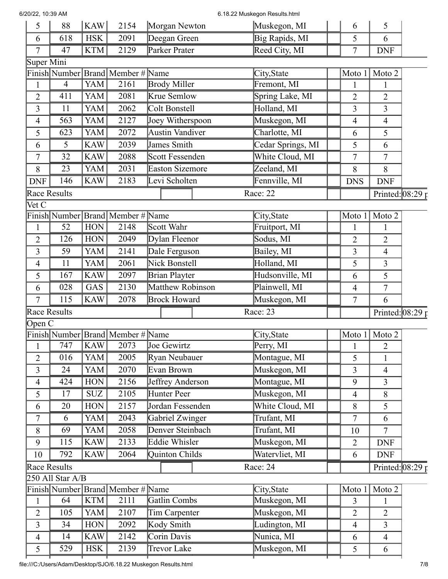| 6/20/22, 10:39 AM |                     |            |                                       |                        |                     |  | 6.18.22 Muskegon Results.html |  |                |                       |  |
|-------------------|---------------------|------------|---------------------------------------|------------------------|---------------------|--|-------------------------------|--|----------------|-----------------------|--|
| 5                 | 88                  | KAW        | 2154                                  | Morgan Newton          |                     |  | Muskegon, MI                  |  | 6              | 5                     |  |
| 6                 | 618                 | <b>HSK</b> | 2091                                  | Deegan Green           |                     |  | Big Rapids, MI                |  | 5              | 6                     |  |
| 7                 | 47                  | <b>KTM</b> | 2129                                  | Parker Prater          |                     |  | Reed City, MI                 |  | 7              | <b>DNF</b>            |  |
| Super Mini        |                     |            |                                       |                        |                     |  |                               |  |                |                       |  |
|                   |                     |            | Finish Number   Brand   Member # Name |                        |                     |  | City, State                   |  | Moto 1         | Moto 2                |  |
| 1                 | $\overline{4}$      | <b>YAM</b> | 2161                                  | <b>Brody Miller</b>    |                     |  | Fremont, MI                   |  | 1              | $\mathbf{1}$          |  |
| $\overline{2}$    | 411                 | YAM        | 2081                                  | Krue Semlow            |                     |  | Spring Lake, MI               |  | $\overline{2}$ | $\overline{2}$        |  |
| 3                 | 11                  | YAM        | 2062                                  | Colt Bonstell          |                     |  | Holland, MI                   |  | 3              | 3                     |  |
| 4                 | 563                 | <b>YAM</b> | 2127                                  | Joey Witherspoon       |                     |  | Muskegon, MI                  |  | $\overline{4}$ | $\overline{4}$        |  |
| 5                 | 623                 | <b>YAM</b> | 2072                                  | Austin Vandiver        |                     |  | Charlotte, MI                 |  | 6              | 5                     |  |
| 6                 | 5                   | <b>KAW</b> | 2039                                  | James Smith            |                     |  | Cedar Springs, MI             |  | 5              | 6                     |  |
| 7                 | 32                  | <b>KAW</b> | 2088                                  | Scott Fessenden        |                     |  | White Cloud, MI               |  | 7              | 7                     |  |
| 8                 | 23                  | <b>YAM</b> | 2031                                  | <b>Easton Sizemore</b> |                     |  | Zeeland, MI                   |  | 8              | 8                     |  |
| <b>DNF</b>        | 146                 | <b>KAW</b> | 2183                                  | Levi Scholten          |                     |  | Fennville, MI                 |  | <b>DNS</b>     | <b>DNF</b>            |  |
|                   | <b>Race Results</b> |            |                                       |                        |                     |  | Race: 22                      |  |                | Printed: $08:29 \tau$ |  |
| Vet C             |                     |            |                                       |                        |                     |  |                               |  |                |                       |  |
|                   |                     |            | Finish Number Brand Member # Name     |                        |                     |  | City, State                   |  | Moto 1         | Moto 2                |  |
|                   | 52                  | HON        | 2148                                  | Scott Wahr             |                     |  | Fruitport, MI                 |  |                |                       |  |
| 2                 | 126                 | <b>HON</b> | 2049                                  | Dylan Fleenor          |                     |  | Sodus, MI                     |  | 2              | 2                     |  |
| 3                 | 59                  | <b>YAM</b> | 2141                                  | Dale Ferguson          |                     |  | Bailey, MI                    |  | 3              | $\overline{4}$        |  |
| 4                 | 11                  | <b>YAM</b> | 2061                                  | Nick Bonstell          |                     |  | Holland, MI                   |  | 5              | 3                     |  |
| 5                 | 167                 | <b>KAW</b> | 2097                                  | Brian Playter          |                     |  | Hudsonville, MI               |  | 6              | 5                     |  |
| 6                 | 028                 | GAS        | 2130                                  |                        | Matthew Robinson    |  | Plainwell, MI                 |  | $\overline{4}$ | 7                     |  |
| 7                 | 115                 | <b>KAW</b> | 2078                                  |                        | <b>Brock Howard</b> |  | Muskegon, MI                  |  | 7              | 6                     |  |
|                   | <b>Race Results</b> |            |                                       |                        |                     |  | Race: 23                      |  |                | Printed: $08:29r$     |  |
| Open C            |                     |            |                                       |                        |                     |  |                               |  |                |                       |  |
|                   |                     |            | Finish Number Brand Member # Name     |                        |                     |  | City, State                   |  |                | Moto 1 Moto 2         |  |
|                   | 747                 | <b>KAW</b> | 2073                                  | Joe Gewirtz            |                     |  | Perry, MI                     |  |                | 2                     |  |
| 2                 | 016                 | YAM        | 2005                                  | Ryan Neubauer          |                     |  | Montague, MI                  |  | 5              | 1                     |  |
| 3                 | 24                  | YAM        | 2070                                  | Evan Brown             |                     |  | Muskegon, MI                  |  | 3              | $\overline{4}$        |  |
| $\overline{4}$    | 424                 | <b>HON</b> | 2156                                  | Jeffrey Anderson       |                     |  | Montague, MI                  |  | 9              | $\overline{3}$        |  |
| 5                 | 17                  | <b>SUZ</b> | 2105                                  | Hunter Peer            |                     |  | Muskegon, MI                  |  | 4              | 8                     |  |
| 6                 | 20                  | <b>HON</b> | 2157                                  | Jordan Fessenden       |                     |  | White Cloud, MI               |  | 8              | 5                     |  |
| 7                 | 6                   | YAM        | 2043                                  | Gabriel Zwinger        |                     |  | Trufant, MI                   |  | 7              | 6                     |  |
| 8                 | 69                  | YAM        | 2058                                  | Denver Steinbach       |                     |  | Trufant, MI                   |  | 10             | $\tau$                |  |
| 9                 | 115                 | <b>KAW</b> | 2133                                  | <b>Eddie Whisler</b>   |                     |  | Muskegon, MI                  |  | $\overline{2}$ | <b>DNF</b>            |  |
| 10                | 792                 | <b>KAW</b> | 2064                                  | Quinton Childs         |                     |  | Watervliet, MI                |  | 6              | <b>DNF</b>            |  |
|                   | Race Results        |            |                                       |                        |                     |  | Race: 24                      |  |                | Printed: $08:29r$     |  |
|                   | 250 All Star A/B    |            |                                       |                        |                     |  |                               |  |                |                       |  |
|                   |                     |            | Finish Number Brand Member # Name     |                        |                     |  | City, State                   |  | Moto 1         | Moto 2                |  |
| $\mathbf{1}$      | 64                  | <b>KTM</b> | 2111                                  | Gatlin Combs           |                     |  | Muskegon, MI                  |  | $\overline{3}$ | $\mathbf{1}$          |  |
| 2                 | 105                 | YAM        | 2107                                  | Tim Carpenter          |                     |  | Muskegon, MI                  |  | $\overline{2}$ | $\overline{2}$        |  |
| 3                 | 34                  | <b>HON</b> | 2092                                  | Kody Smith             |                     |  | Ludington, MI                 |  | $\overline{4}$ | $\overline{3}$        |  |
| $\overline{4}$    | 14                  | <b>KAW</b> | 2142                                  | Corin Davis            |                     |  | Nunica, MI                    |  | 6              | 4                     |  |
| 5                 | 529                 | <b>HSK</b> | 2139                                  | <b>Trevor Lake</b>     |                     |  | Muskegon, MI                  |  | 5              | 6                     |  |
|                   |                     |            |                                       |                        |                     |  |                               |  |                |                       |  |